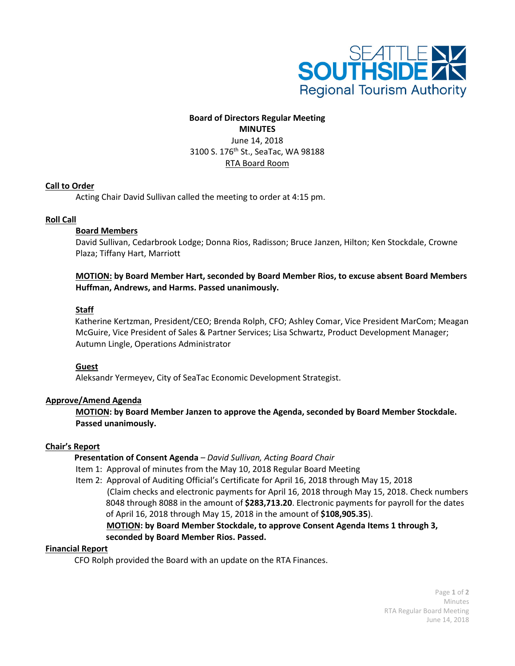

### **Board of Directors Regular Meeting MINUTES** June 14, 2018

3100 S. 176th St., SeaTac, WA 98188 RTA Board Room

# **Call to Order**

Acting Chair David Sullivan called the meeting to order at 4:15 pm.

# **Roll Call**

# **Board Members**

David Sullivan, Cedarbrook Lodge; Donna Rios, Radisson; Bruce Janzen, Hilton; Ken Stockdale, Crowne Plaza; Tiffany Hart, Marriott

### **MOTION: by Board Member Hart, seconded by Board Member Rios, to excuse absent Board Members Huffman, Andrews, and Harms. Passed unanimously.**

# **Staff**

Katherine Kertzman, President/CEO; Brenda Rolph, CFO; Ashley Comar, Vice President MarCom; Meagan McGuire, Vice President of Sales & Partner Services; Lisa Schwartz, Product Development Manager; Autumn Lingle, Operations Administrator

### **Guest**

Aleksandr Yermeyev, City of SeaTac Economic Development Strategist.

### **Approve/Amend Agenda**

**MOTION: by Board Member Janzen to approve the Agenda, seconded by Board Member Stockdale. Passed unanimously.**

### **Chair's Report**

### **Presentation of Consent Agenda** *– David Sullivan, Acting Board Chair*

Item 1: Approval of minutes from the May 10, 2018 Regular Board Meeting

Item 2: Approval of Auditing Official's Certificate for April 16, 2018 through May 15, 2018 (Claim checks and electronic payments for April 16, 2018 through May 15, 2018. Check numbers 8048 through 8088 in the amount of **\$283,713.20**. Electronic payments for payroll for the dates of April 16, 2018 through May 15, 2018 in the amount of **\$108,905.35**).

 **MOTION: by Board Member Stockdale, to approve Consent Agenda Items 1 through 3, seconded by Board Member Rios. Passed.**

### **Financial Report**

CFO Rolph provided the Board with an update on the RTA Finances.